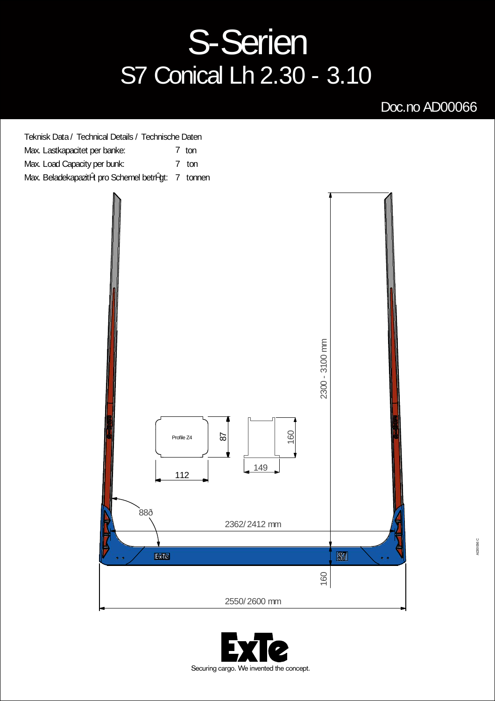## **S-Serien** S7 Conical Lh 2.30 - 3.10

## Doc.no AD00066



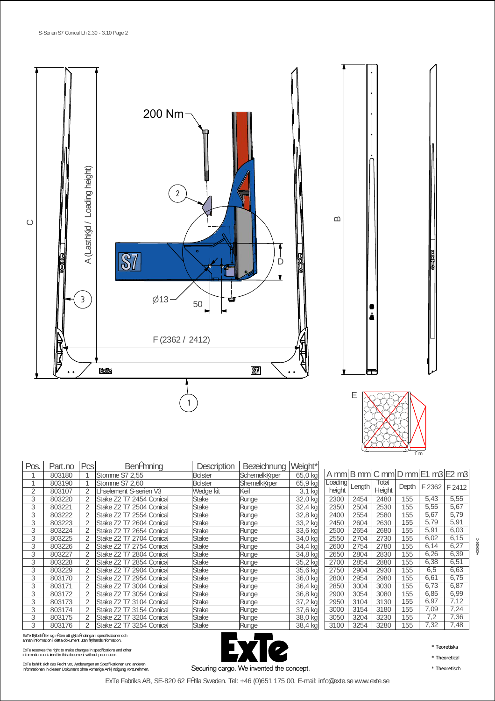



| ш |
|---|

A mm  $\vert$ B mm  $\vert$ C mm  $\vert$ D mm  $\vert$ E1 m3  $\vert$ E2 m3

2300 | 2454 | 2480 | 155 | 5,43 | 5,55 2350 | 2504 | 2530 | 155 | 5,55 | 5,67 2400 2554 2580 155 5,67 5,79<br>2450 2604 2630 155 5,79 5,91<br>2500 2654 2680 155 5,91 6,03 2450 | 2604 | 2630 | 155 | 5,79 | 5,91 2500 2654 2680 155 5,91 6,03

2600 | 2754 | 2780 | 155 | 6,14 | 6,27 2650 | 2804 | 2830 | 155 | 6,26 | 6,39

Depth | F 2362 | F 2412

**Total** Height<br>2480<br>2530

Length

| Pos.           | Part.no | Pcsl           | Benžmning                | Description    | Bezeichnung   | Weight*  |         |
|----------------|---------|----------------|--------------------------|----------------|---------------|----------|---------|
|                | 803180  |                | Stomme S7 2,55           | <b>Bolster</b> | Schemelk rper | 65,0 kg  | A mm    |
|                | 803190  |                | Stomme S7 2.60           | <b>Bolster</b> | Shemelk rper  | 65,9 kg  | Loading |
| $\overline{2}$ | 803107  | $\overline{2}$ | Oselement S-serien V3    | Wedge kit      | Keil          | $3,1$ kg | height  |
| 3              | 803220  | 2              | Stake Z2 T7 2454 Conical | Stake          | Runge         | 32,0 kg  | 2300    |
| 3              | 803221  | $\overline{2}$ | Stake Z2 T7 2504 Conical | <b>Stake</b>   | Runge         | 32,4 kg  | 2350    |
| 3              | 803222  | 2              | Stake Z2 T7 2554 Conical | <b>Stake</b>   | Runge         | 32,8 kg  | 2400    |
| 3              | 803223  | $\overline{2}$ | Stake Z2 T7 2604 Conical | Stake          | Runge         | 33,2 kg  | 2450    |
| 3              | 803224  | 2              | Stake Z2 T7 2654 Conical | Stake          | Runge         | 33,6 kg  | 2500    |
| 3              | 803225  | $\overline{2}$ | Stake Z2 T7 2704 Conical | <b>Stake</b>   | Runge         | 34,0 kg  | 2550    |
| 3              | 803226  | 2              | Stake Z2 T7 2754 Conical | Stake          | Runge         | 34,4 kg  | 2600    |
| 3              | 803227  | 2              | Stake Z2 T7 2804 Conical | Stake          | Runge         | 34,8 kg  | 2650    |
| 3              | 803228  | 2              | Stake Z2 T7 2854 Conical | Stake          | Runge         | 35,2 kg  | 2700    |
| 3              | 803229  | $\overline{2}$ | Stake Z2 T7 2904 Conical | Stake          | Runge         | 35,6 kg  | 2750    |
| 3              | 803170  | 2              | Stake Z2 T7 2954 Conical | Stake          | Runge         | 36,0 kg  | 2800    |
| 3              | 803171  | 2              | Stake Z2 T7 3004 Conical | Stake          | Runge         | 36,4 kg  | 2850    |
| 3              | 803172  | 2              | Stake Z2 T7 3054 Conical | Stake          | Runge         | 36,8 kg  | 2900    |
| 3              | 803173  | $\overline{2}$ | Stake Z2 T7 3104 Conical | Stake          | Runge         | 37,2 kg  | 2950    |
| 3              | 803174  | $\overline{2}$ | Stake Z2 T7 3154 Conical | <b>Stake</b>   | Runge         | 37,6 kg  | 3000    |
| 3              | 803175  | 2              | Stake Z2 T7 3204 Conical | <b>Stake</b>   | Runge         | 38,0 kg  | 3050    |
| 3              | 803176  | 2              | Stake Z2 T7 3254 Conical | <b>Stake</b>   | Runge         | 38,4 kg  | 3100    |

ExTe f rbehåller sig rätten att g raändringar i specifikationer och annan information i detta dokument utan f rhandsinformation.

ExTe reserves the right to make changes in specifications and other information contained in this document without prior notice.

ExTe behält sich das Recht vor, snderungen an Spezifikationen und anderen<br>Informationen in diesem Dokument ohne vorherige Ank ndigung vorzunehmen.



2550 2704 2730 155 6,02 6,15<br>2600 2754 2780 155 6,14 6,27<br>2650 2804 2830 155 6,26 6,39 2700 2854 2880 155 6,38 6,51<br>2750 2904 2930 155 6,5 6,63 2750 2904 2930 155 6,5 6,63  $\frac{2980}{2980}$ 2850 3004 3030 155 6,73 6,87<br>2900 3054 3080 155 6,85 6,99<br>2950 3104 3130 155 6,97 7,12 3054 3080 155 6,85<br>3104 3130 155 6,97 2050 3104 3130<br>3000 3154 3180<br>3050 3204 3230 3154 3180 155 7,09 7,24<br>3204 3230 155 7,2 7,36<br>3254 3280 155 7,32 7,48  $3204$ 3100 3254 3280 155

\* Teoretiska

\* Theoretical

ExTe Fabriks AB, SE-820 62 Färila Sweden. Tel: +46 (0)651 175 00. E-mail: info@exte.se www.exte.se

AD00066 C